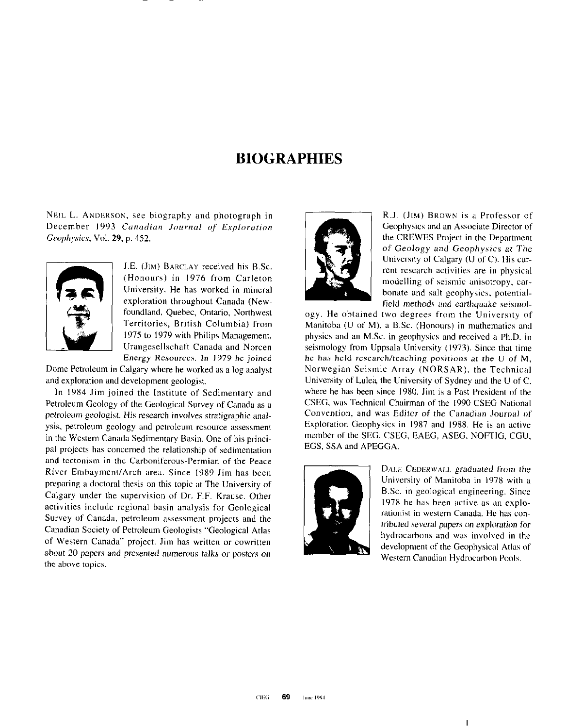## BIOGRAPHIES

NEIL L. ANDERSON, see biography and photograph in December 1993 Canadian Journal of Exploration Geophysics, Vol. 29, p. 452.



J.E. (JIM) BARCLAY received his B.Sc. (Honours) in 1976 from Carleton University. He has worked in mineral exploration throughout Canada (Newfoundland, Quebec, Ontario, Northwest Territories, British Columbia) from 1975 to 1979 with Philips Management, Urangesellschaft Canada and Noreen Energy Resources. In I979 he joined

Dome Petroleum in Calgary where he worked as a log analyst and exploration and development geologist.

In 1984 Jim joined the Institute of Sedimentary and Petroleum Geology of the Geological Survey of Canada as a petroleum geologist. His research involves stratigraphic analysis. petroleum geology and petroleum resource assessment in the Western Canada Sedimentary Basin. One of his principal projects has concerned the relationship of sedimentation and tectonism in the Carboniferous-Permian of the Peace River Embayment/Arch area. Since 1989 Jim has been preparing a doctoral thesis on this topic at The University of Calgary under the supervision of Dr. F.F. Krause. Other activities include regional basin analysis for Geological Survey of Canada, petroleum assessment projects and the Canadian Society of Petroleum Geologists "Geological Atlas of Western Canada" project. Jim has written or cowritten about 20 papers and presented numerous talks or posters on the above topics.



R.J. (JIM) BROWN is a Professor of Geophysics and an Associate Director of the CREWES Project in the Department of Geology and Geophysics at The University of Calgary (U of C). His current research activities are in physical modelling of seismic anisotropy, carhonate and salt geophysics, potentialfield methods and earthquake seismol-

ogy. He obtained two degrees from the University of Manitoba (U of M), a B.Sc. (Honours) in mathematics and physics and an M.Sc. in geophysics and received a Ph.D. in seismology from Uppsala University (1973). Since that time he has held research/teaching positions at the U of M, Norwegian Seismic Array (NORSAR). the Technical University of Lulea, the University of Sydney and the U of C. where he has been since 1980. Jim is a Past President of the CSEG, was Technical Chairman of the 1990 CSEG National Convention, and was Edilor of the Canadian Journal of Exploration Geophysics in 1987 and 1988. He is an active member of the SEC, CSEG, EAEG, ASEG. NOFTIG, CGU. EGS, SSA and APEGGA.



DALE CEDERWALL graduated from the University of Manitoba in 1978 with a B.Sc. in geological engineering. Since 1978 he has heen active as an explorationist in western Canada. He has contributed several papers on exploration for hydrocarbons and was involved in the development of the Geophysical Atlas of Western Canadian Hydrocarbon Pools.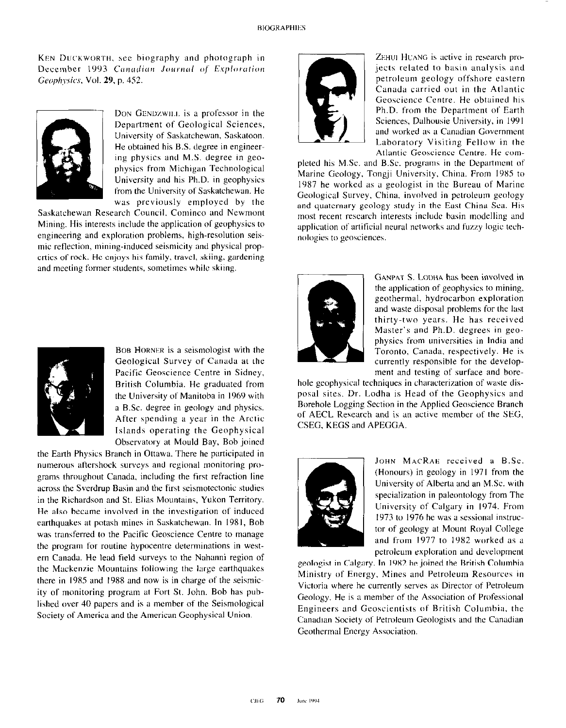KEN DUCKWORTH, see biography and photograph in December 1993 Canadian Journal of Exploration Geophysics, Vol. 29, p. 452.



DON GENDZWILL is a professor in the Department of Geological Sciences, University of Saskatchewan, Saskatoon. He obtained his B.S. degree in engineering physics and M.S. degree in geophysics from Michigan Technological University and his Ph.D. in geophysics from the University of Saskatchewan. He was previously employed by the

Saskatchewan Research Council. Cominco and Newmont Mining. His interests include the application of geophysics to engineering and exploration problems, high-resolution seismic reflection, mining-induced seismicity and physical properties of rock. He enjoys his family, travel, skiing, gardening and meeting former students, sometimes while skiing.



BOB HORNER is a seismologist with the Geological Survey of Canada at the Pacific Geoscience Centre in Sidney, British Columbia. He graduated from the University of Manitoba in 1969 with a B.Sc. degree in geology and physics. After spending a year in the Arctic Islands operating the Geophysical Observatory at Mould Bay, Bob joined

the Earth Physics Branch in Ottawa. There he participated in numerous aftershock surveys and regional monitoring programs throughout Canada. including the first refraction line across the Sverdrup Basin and the first seismotectonic studies in the Richardson and St. Elias Mountains, Yukon Territory. He also became involved in the investigation of induced earthquakes at potash mines in Saskatchewan. In 1981, Bob was transferred to the Pacific Geoscience Centre to manage the program for routine hypocentre determinations in western Canada. He lead field surveys to the Nahanni region of the Mackenzie Mountains following the large earthquakes there in I985 and 1988 and now is in charge of the seismicity of monitoring program at Fort St. John. Bob has puhlished over 40 papers and is a member of the Seismological Society of America and the American Geophysical Union.



ZEHUI HUANG is active in research projects related to basin analysis and petroleum geology offshore eastern Canada carried out in the Atlantic Geoscience Centre. He obtained his Ph.D. from the Department of Earth Sciences, Dalhousie University, in 1991 and worked as a Canadian Government Laboratory Visiting Fellow in the Atlantic Geoscience Centre. He com-

pleted his M.Sc. and B.Sc. programs in the Department of Marine Geology, Tongji University, China. From 1985 to 1987 he worked as a geologist in the Bureau of Marine Geological Survey, Chine, involved in petroleum geology and quaternary geology study in the East China Sea. His most recent research interests include hasin modelling and application of artificial neural networks and fuzzy logic technolopics to geosciences.



GANPAT S. LODHA has been involved in the application of geophysics to mining, geothermal, hydrocarbon exploration and waste disposal problems for the last thirty-two years. He has received Master's and Ph.D. degrees in geophysics from universities in India and Toronto, Canada, respectively. He is currently responsible for the development and testing of surface and hore-

hole geophysical techniques in characterization of waste disposal sites. Dr. Lodhe is Head of the Geophysics and Borehole Logging Section in the Applied Geoscience Branch of AECL Research and is an active member of the SEG, CSEG, KEGS and APEGGA.



JOHN MACRAE received a B.Sc. (Honours) in geology in 1971 from the University of Alberta and an M.Sc. with specialization in paleontology from The University of Calgary in 1974. From 1973 to 1976 he was a sessional instructor of geology at Mount Royal College and from 1977 to 1982 worked as a petroleum exploration and development

geologist in Calgary. In 1982 he joined the British Columbia Ministry of Energy, Mines and Petroleum Resources in Victoria where he currently serves as Director of Petroleum Geology. He is a member of the Association of Professional Engineers and Geoscientists of British Columbia. the Canadian Society of Petroleum Geologists and the Canadian Geothermal Energy Association.